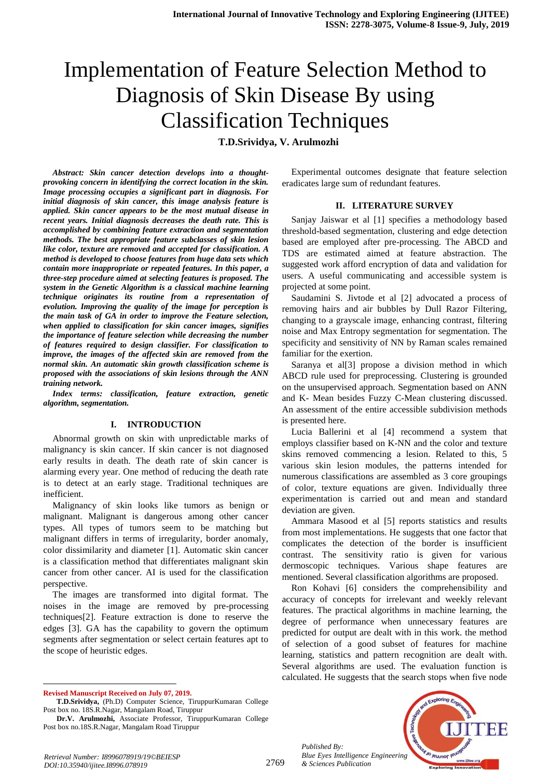# Implementation of Feature Selection Method to Diagnosis of Skin Disease By using Classification Techniques

**T.D.Srividya, V. Arulmozhi**

*Abstract: Skin cancer detection develops into a thoughtprovoking concern in identifying the correct location in the skin. Image processing occupies a significant part in diagnosis. For initial diagnosis of skin cancer, this image analysis feature is applied. Skin cancer appears to be the most mutual disease in recent years. Initial diagnosis decreases the death rate. This is accomplished by combining feature extraction and segmentation methods. The best appropriate feature subclasses of skin lesion like color, texture are removed and accepted for classification. A method is developed to choose features from huge data sets which contain more inappropriate or repeated features. In this paper, a three-step procedure aimed at selecting features is proposed. The system in the Genetic Algorithm is a classical machine learning technique originates its routine from a representation of evolution. Improving the quality of the image for perception is the main task of GA in order to improve the Feature selection, when applied to classification for skin cancer images, signifies the importance of feature selection while decreasing the number of features required to design classifier. For classification to improve, the images of the affected skin are removed from the normal skin. An automatic skin growth classification scheme is proposed with the associations of skin lesions through the ANN training network.*

*Index terms: classification, feature extraction, genetic algorithm, segmentation.*

#### **I. INTRODUCTION**

Abnormal growth on skin with unpredictable marks of malignancy is skin cancer. If skin cancer is not diagnosed early results in death. The death rate of skin cancer is alarming every year. One method of reducing the death rate is to detect at an early stage. Traditional techniques are inefficient.

Malignancy of skin looks like tumors as benign or malignant. Malignant is dangerous among other cancer types. All types of tumors seem to be matching but malignant differs in terms of irregularity, border anomaly, color dissimilarity and diameter [1]. Automatic skin cancer is a classification method that differentiates malignant skin cancer from other cancer. AI is used for the classification perspective.

The images are transformed into digital format. The noises in the image are removed by pre-processing techniques[2]. Feature extraction is done to reserve the edges [3]. GA has the capability to govern the optimum segments after segmentation or select certain features apt to the scope of heuristic edges.

**Revised Manuscript Received on July 07, 2019.**

 $\overline{a}$ 

Experimental outcomes designate that feature selection eradicates large sum of redundant features.

#### **II. LITERATURE SURVEY**

Sanjay Jaiswar et al [1] specifies a methodology based threshold-based segmentation, clustering and edge detection based are employed after pre-processing. The ABCD and TDS are estimated aimed at feature abstraction. The suggested work afford encryption of data and validation for users. A useful communicating and accessible system is projected at some point.

Saudamini S. Jivtode et al [2] advocated a process of removing hairs and air bubbles by Dull Razor Filtering, changing to a grayscale image, enhancing contrast, filtering noise and Max Entropy segmentation for segmentation. The specificity and sensitivity of NN by Raman scales remained familiar for the exertion.

Saranya et al[3] propose a division method in which ABCD rule used for preprocessing. Clustering is grounded on the unsupervised approach. Segmentation based on ANN and K- Mean besides Fuzzy C-Mean clustering discussed. An assessment of the entire accessible subdivision methods is presented here.

Lucia Ballerini et al [4] recommend a system that employs classifier based on K-NN and the color and texture skins removed commencing a lesion. Related to this, 5 various skin lesion modules, the patterns intended for numerous classifications are assembled as 3 core groupings of color, texture equations are given. Individually three experimentation is carried out and mean and standard deviation are given.

Ammara Masood et al [5] reports statistics and results from most implementations. He suggests that one factor that complicates the detection of the border is insufficient contrast. The sensitivity ratio is given for various dermoscopic techniques. Various shape features are mentioned. Several classification algorithms are proposed.

Ron Kohavi [6] considers the comprehensibility and accuracy of concepts for irrelevant and weekly relevant features. The practical algorithms in machine learning, the degree of performance when unnecessary features are predicted for output are dealt with in this work. the method of selection of a good subset of features for machine learning, statistics and pattern recognition are dealt with. Several algorithms are used. The evaluation function is calculated. He suggests that the search stops when five node

*Published By: Blue Eyes Intelligence Engineering & Sciences Publication* 



*Retrieval Number: I8996078919/19©BEIESP DOI:10.35940/ijitee.I8996.078919*

**T.D.Srividya,** (Ph.D) Computer Science, TiruppurKumaran College Post box no. 18S.R.Nagar, Mangalam Road, Tiruppur

**Dr.V. Arulmozhi,** Associate Professor, TiruppurKumaran College Post box no.18S.R.Nagar, Mangalam Road Tiruppur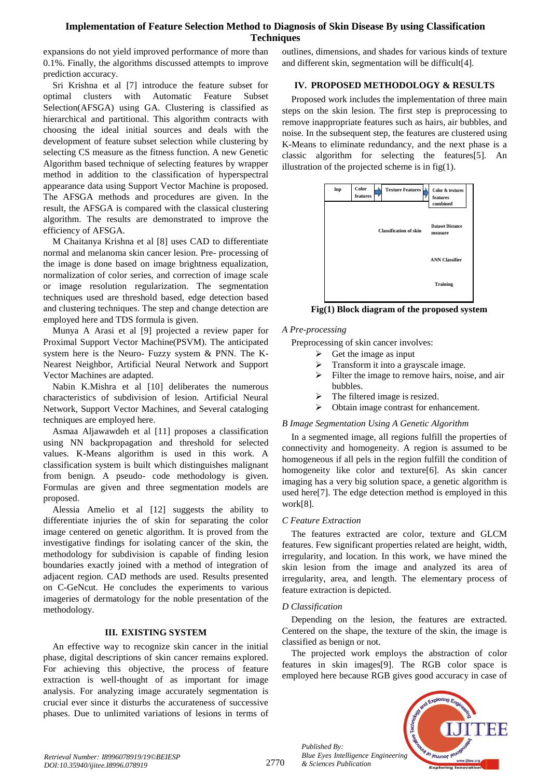# **Implementation of Feature Selection Method to Diagnosis of Skin Disease By using Classification Techniques**

expansions do not yield improved performance of more than 0.1%. Finally, the algorithms discussed attempts to improve prediction accuracy.

Sri Krishna et al [7] introduce the feature subset for optimal clusters with Automatic Feature Subset Selection(AFSGA) using GA. Clustering is classified as hierarchical and partitional. This algorithm contracts with choosing the ideal initial sources and deals with the development of feature subset selection while clustering by selecting CS measure as the fitness function. A new Genetic Algorithm based technique of selecting features by wrapper method in addition to the classification of hyperspectral appearance data using Support Vector Machine is proposed. The AFSGA methods and procedures are given. In the result, the AFSGA is compared with the classical clustering algorithm. The results are demonstrated to improve the efficiency of AFSGA.

M Chaitanya Krishna et al [8] uses CAD to differentiate normal and melanoma skin cancer lesion. Pre- processing of the image is done based on image brightness equalization, normalization of color series, and correction of image scale or image resolution regularization. The segmentation techniques used are threshold based, edge detection based and clustering techniques. The step and change detection are employed here and TDS formula is given.

Munya A Arasi et al [9] projected a review paper for Proximal Support Vector Machine(PSVM). The anticipated system here is the Neuro- Fuzzy system & PNN. The K-Nearest Neighbor, Artificial Neural Network and Support Vector Machines are adapted.

Nabin K.Mishra et al [10] deliberates the numerous characteristics of subdivision of lesion. Artificial Neural Network, Support Vector Machines, and Several cataloging techniques are employed here.

Asmaa Aljawawdeh et al [11] proposes a classification using NN backpropagation and threshold for selected values. K-Means algorithm is used in this work. A classification system is built which distinguishes malignant from benign. A pseudo- code methodology is given. Formulas are given and three segmentation models are proposed.

Alessia Amelio et al [12] suggests the ability to differentiate injuries the of skin for separating the color image centered on genetic algorithm. It is proved from the investigative findings for isolating cancer of the skin, the methodology for subdivision is capable of finding lesion boundaries exactly joined with a method of integration of adjacent region. CAD methods are used. Results presented on C-GeNcut. He concludes the experiments to various imageries of dermatology for the noble presentation of the methodology.

# **III. EXISTING SYSTEM**

An effective way to recognize skin cancer in the initial phase, digital descriptions of skin cancer remains explored. For achieving this objective, the process of feature extraction is well-thought of as important for image analysis. For analyzing image accurately segmentation is crucial ever since it disturbs the accurateness of successive phases. Due to unlimited variations of lesions in terms of outlines, dimensions, and shades for various kinds of texture and different skin, segmentation will be difficult[4].

#### **IV. PROPOSED METHODOLOGY & RESULTS**

Proposed work includes the implementation of three main steps on the skin lesion. The first step is preprocessing to remove inappropriate features such as hairs, air bubbles, and noise. In the subsequent step, the features are clustered using K-Means to eliminate redundancy, and the next phase is a classic algorithm for selecting the features[5]. An illustration of the projected scheme is in fig(1).



**Fig(1) Block diagram of the proposed system**

#### *A Pre-processing*

Preprocessing of skin cancer involves:

- $\triangleright$  Get the image as input
- Transform it into a grayscale image.
- $\triangleright$  Filter the image to remove hairs, noise, and air bubbles.
- The filtered image is resized.
- Obtain image contrast for enhancement.

# *B Image Segmentation Using A Genetic Algorithm*

In a segmented image, all regions fulfill the properties of connectivity and homogeneity. A region is assumed to be homogeneous if all pels in the region fulfill the condition of homogeneity like color and texture[6]. As skin cancer imaging has a very big solution space, a genetic algorithm is used here[7]. The edge detection method is employed in this work[8].

# *C Feature Extraction*

The features extracted are color, texture and GLCM features. Few significant properties related are height, width, irregularity, and location. In this work, we have mined the skin lesion from the image and analyzed its area of irregularity, area, and length. The elementary process of feature extraction is depicted.

#### *D Classification*

*Published By:*

*& Sciences Publication* 

Depending on the lesion, the features are extracted. Centered on the shape, the texture of the skin, the image is classified as benign or not.

The projected work employs the abstraction of color features in skin images[9]. The RGB color space is employed here because RGB gives good accuracy in case of

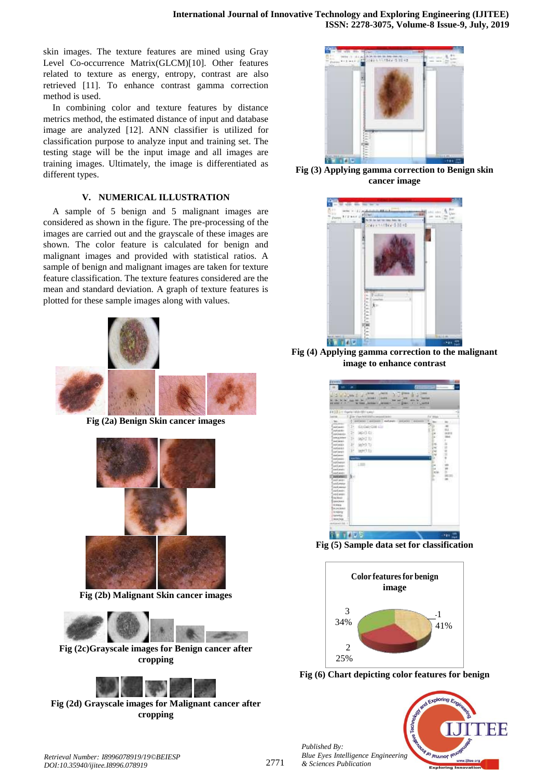skin images. The texture features are mined using Gray Level Co-occurrence Matrix(GLCM)[10]. Other features related to texture as energy, entropy, contrast are also retrieved [11]. To enhance contrast gamma correction method is used.

In combining color and texture features by distance metrics method, the estimated distance of input and database image are analyzed [12]. ANN classifier is utilized for classification purpose to analyze input and training set. The testing stage will be the input image and all images are training images. Ultimately, the image is differentiated as different types.

#### **V. NUMERICAL ILLUSTRATION**

A sample of 5 benign and 5 malignant images are considered as shown in the figure. The pre-processing of the images are carried out and the grayscale of these images are shown. The color feature is calculated for benign and malignant images and provided with statistical ratios. A sample of benign and malignant images are taken for texture feature classification. The texture features considered are the mean and standard deviation. A graph of texture features is plotted for these sample images along with values.



**Fig (2a) Benign Skin cancer images**



**Fig (2b) Malignant Skin cancer images**



**Fig (2c)Grayscale images for Benign cancer after cropping**



**Fig (2d) Grayscale images for Malignant cancer after cropping**



**Fig (3) Applying gamma correction to Benign skin cancer image**



**Fig (4) Applying gamma correction to the malignant image to enhance contrast**

| <b>AWAID-</b>                                   |                                                         |                        |                             |
|-------------------------------------------------|---------------------------------------------------------|------------------------|-----------------------------|
| ۰.<br>÷                                         |                                                         | п                      |                             |
| <b>William William</b><br>u                     | Jierre                                                  | <b>COLLEGE</b>         |                             |
| <b>MA .: 34</b>                                 | 44444                                                   |                        |                             |
| <b>IN HART</b><br><b>KORZ</b><br>-              | <b>January 41</b><br>11340<br><b>Deal</b><br>$-0.00444$ | ٠<br><b>Classified</b> |                             |
|                                                 |                                                         |                        |                             |
| EB'23 DYT Hawki WALLISH Lake                    | distant                                                 |                        |                             |
| The View features<br>v<br>w.                    | persons ( general ) subpate ( persons ) were            | ×                      | Fallman -                   |
| es la                                           |                                                         | m                      | m                           |
| B<br>direktering any<br>aid same<br>markets and |                                                         |                        | m                           |
| 衔<br>HEATERS!<br>AMERICA'S                      |                                                         |                        | <b>ASSESS</b><br>٠          |
| sint a joiner<br>Шh<br><b>BENT XI</b>           |                                                         |                        | <b>Mark</b><br>٠<br>×       |
| and lauk-<br>integri<br>weld exists:<br>Ŀ       |                                                         |                        | à,<br>Ers                   |
| mitmili                                         |                                                         |                        | 198<br><b>Dist</b>          |
| tage(1.5);<br>sad lesin                         |                                                         |                        | ×<br><b>CHE</b><br>131<br>w |
| sied person<br>end senior                       |                                                         |                        |                             |
| <b>AGE Assessed</b><br>$1 = 1$                  |                                                         |                        |                             |
| and more<br>start seein                         |                                                         | To A                   | m<br>ċ<br>w<br>×            |
| sied assis                                      |                                                         |                        | ш<br><b>Excite</b>          |
| bч<br><b><i><u>RIVE MTALL</u></i></b>           |                                                         |                        | in                          |
| sid and                                         |                                                         | s.                     | $-26$<br>w                  |
| sidance<br>med.immun                            |                                                         |                        |                             |
| and more.                                       |                                                         |                        |                             |
| said and                                        |                                                         |                        |                             |
| Nakkerin<br>leave town                          |                                                         |                        |                             |
| <b>Internal</b>                                 |                                                         |                        |                             |
| Amirant                                         |                                                         |                        |                             |
| <b>Armieriz</b><br><b>SEPES</b>                 |                                                         |                        |                             |
| (deset) legs                                    |                                                         |                        |                             |
| pendidate in                                    |                                                         |                        |                             |
|                                                 |                                                         |                        |                             |
|                                                 |                                                         |                        |                             |
| 唱印                                              |                                                         |                        | 膃<br>.,,                    |

**Fig (5) Sample data set for classification**



**Fig (6) Chart depicting color features for benign**

*Published By: Blue Eyes Intelligence Engineering & Sciences Publication*